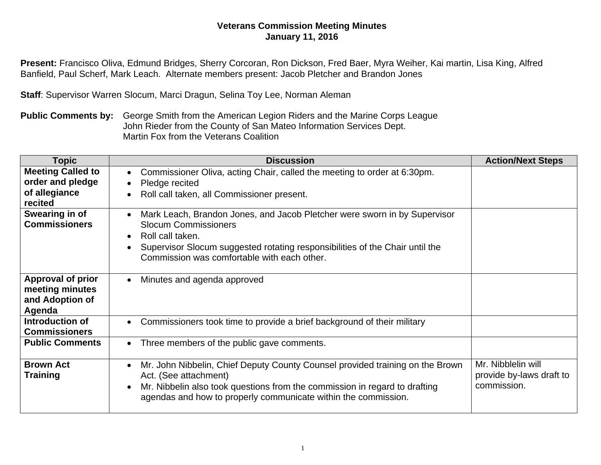## **Veterans Commission Meeting Minutes January 11, 2016**

**Present:** Francisco Oliva, Edmund Bridges, Sherry Corcoran, Ron Dickson, Fred Baer, Myra Weiher, Kai martin, Lisa King, Alfred Banfield, Paul Scherf, Mark Leach. Alternate members present: Jacob Pletcher and Brandon Jones

**Staff**: Supervisor Warren Slocum, Marci Dragun, Selina Toy Lee, Norman Aleman

**Public Comments by:** George Smith from the American Legion Riders and the Marine Corps League John Rieder from the County of San Mateo Information Services Dept. Martin Fox from the Veterans Coalition

| Topic                                                                    | <b>Discussion</b>                                                                                                                                                                                                                                                                     | <b>Action/Next Steps</b>                                      |
|--------------------------------------------------------------------------|---------------------------------------------------------------------------------------------------------------------------------------------------------------------------------------------------------------------------------------------------------------------------------------|---------------------------------------------------------------|
| <b>Meeting Called to</b><br>order and pledge<br>of allegiance<br>recited | Commissioner Oliva, acting Chair, called the meeting to order at 6:30pm.<br>$\bullet$<br>Pledge recited<br>Roll call taken, all Commissioner present.                                                                                                                                 |                                                               |
| Swearing in of<br><b>Commissioners</b>                                   | Mark Leach, Brandon Jones, and Jacob Pletcher were sworn in by Supervisor<br>$\bullet$<br><b>Slocum Commissioners</b><br>Roll call taken.<br>$\bullet$<br>Supervisor Slocum suggested rotating responsibilities of the Chair until the<br>Commission was comfortable with each other. |                                                               |
| <b>Approval of prior</b><br>meeting minutes<br>and Adoption of<br>Agenda | Minutes and agenda approved<br>$\bullet$                                                                                                                                                                                                                                              |                                                               |
| Introduction of<br><b>Commissioners</b>                                  | Commissioners took time to provide a brief background of their military<br>$\bullet$                                                                                                                                                                                                  |                                                               |
| <b>Public Comments</b>                                                   | Three members of the public gave comments.<br>$\bullet$                                                                                                                                                                                                                               |                                                               |
| <b>Brown Act</b><br><b>Training</b>                                      | Mr. John Nibbelin, Chief Deputy County Counsel provided training on the Brown<br>Act. (See attachment)<br>Mr. Nibbelin also took questions from the commission in regard to drafting<br>$\bullet$<br>agendas and how to properly communicate within the commission.                   | Mr. Nibblelin will<br>provide by-laws draft to<br>commission. |